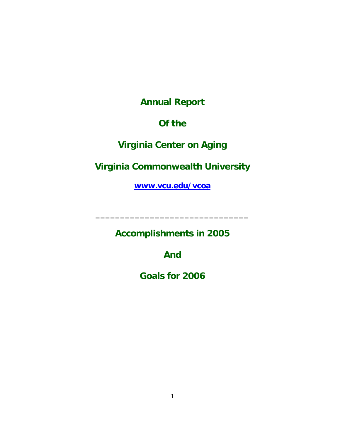**Annual Report** 

# **Of the**

# **Virginia Center on Aging**

**Virginia Commonwealth University**

**[www.vcu.edu/vcoa](http://www.vcu.edu/vcoa)**

**Accomplishments in 2005** 

**\_\_\_\_\_\_\_\_\_\_\_\_\_\_\_\_\_\_\_\_\_\_\_\_\_\_\_\_\_\_\_** 

**And** 

**Goals for 2006**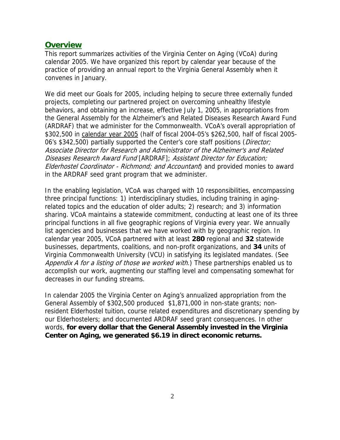#### **Overview**

This report summarizes activities of the Virginia Center on Aging (VCoA) during calendar 2005. We have organized this report by calendar year because of the practice of providing an annual report to the Virginia General Assembly when it convenes in January.

We did meet our Goals for 2005, including helping to secure three externally funded projects, completing our partnered project on overcoming unhealthy lifestyle behaviors, and obtaining an increase, effective July 1, 2005, in appropriations from the General Assembly for the Alzheimer's and Related Diseases Research Award Fund (ARDRAF) that we administer for the Commonwealth. VCoA's overall appropriation of \$302,500 in calendar year 2005 (half of fiscal 2004-05's \$262,500, half of fiscal 2005-06's \$342,500) partially supported the Center's core staff positions (Director; Associate Director for Research and Administrator of the Alzheimer's and Related Diseases Research Award Fund [ARDRAF]; Assistant Director for Education; Elderhostel Coordinator - Richmond; and Accountant) and provided monies to award in the ARDRAF seed grant program that we administer.

In the enabling legislation, VCoA was charged with 10 responsibilities, encompassing three principal functions: 1) interdisciplinary studies, including training in agingrelated topics and the education of older adults; 2) research; and 3) information sharing. VCoA maintains a statewide commitment, conducting at least one of its three principal functions in all five geographic regions of Virginia every year. We annually list agencies and businesses that we have worked with by geographic region. In calendar year 2005, VCoA partnered with at least **280** regional and **32** statewide businesses, departments, coalitions, and non-profit organizations, and **34** units of Virginia Commonwealth University (VCU) in satisfying its legislated mandates. (See Appendix A for a listing of those we worked with.) These partnerships enabled us to accomplish our work, augmenting our staffing level and compensating somewhat for decreases in our funding streams.

In calendar 2005 the Virginia Center on Aging's annualized appropriation from the General Assembly of \$302,500 produced \$1,871,000 in non-state grants; nonresident Elderhostel tuition, course related expenditures and discretionary spending by our Elderhostelers; and documented ARDRAF seed grant consequences. In other words, **for every dollar that the General Assembly invested in the Virginia Center on Aging, we generated \$6.19 in direct economic returns.**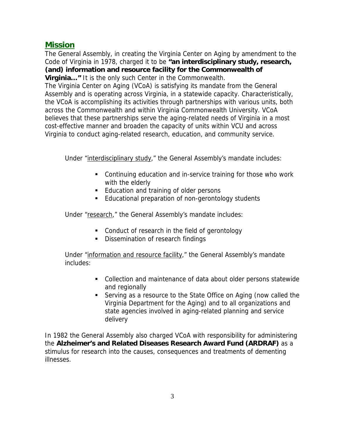### **Mission**

The General Assembly, in creating the Virginia Center on Aging by amendment to the Code of Virginia in 1978, charged it to be **"an interdisciplinary study, research, (and) information and resource facility for the Commonwealth of Virginia…"** It is the only such Center in the Commonwealth.

The Virginia Center on Aging (VCoA) is satisfying its mandate from the General Assembly and is operating across Virginia, in a statewide capacity. Characteristically, the VCoA is accomplishing its activities through partnerships with various units, both across the Commonwealth and within Virginia Commonwealth University. VCoA believes that these partnerships serve the aging-related needs of Virginia in a most cost-effective manner and broaden the capacity of units within VCU and across Virginia to conduct aging-related research, education, and community service.

Under "interdisciplinary study," the General Assembly's mandate includes:

- Continuing education and in-service training for those who work with the elderly
- **Education and training of older persons**
- **Educational preparation of non-gerontology students**

Under "research," the General Assembly's mandate includes:

- **Conduct of research in the field of gerontology**
- **Dissemination of research findings**

Under "information and resource facility," the General Assembly's mandate includes:

- Collection and maintenance of data about older persons statewide and regionally
- Serving as a resource to the State Office on Aging (now called the Virginia Department for the Aging) and to all organizations and state agencies involved in aging-related planning and service delivery

In 1982 the General Assembly also charged VCoA with responsibility for administering the **Alzheimer's and Related Diseases Research Award Fund (ARDRAF)** as a stimulus for research into the causes, consequences and treatments of dementing illnesses.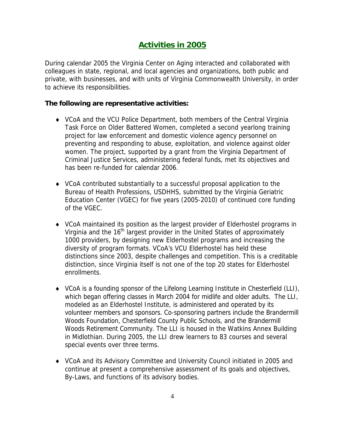# **Activities in 2005**

During calendar 2005 the Virginia Center on Aging interacted and collaborated with colleagues in state, regional, and local agencies and organizations, both public and private, with businesses, and with units of Virginia Commonwealth University, in order to achieve its responsibilities.

#### **The following are representative activities:**

- ♦ VCoA and the VCU Police Department, both members of the Central Virginia Task Force on Older Battered Women, completed a second yearlong training project for law enforcement and domestic violence agency personnel on preventing and responding to abuse, exploitation, and violence against older women. The project, supported by a grant from the Virginia Department of Criminal Justice Services, administering federal funds, met its objectives and has been re-funded for calendar 2006.
- ♦ VCoA contributed substantially to a successful proposal application to the Bureau of Health Professions, USDHHS, submitted by the Virginia Geriatric Education Center (VGEC) for five years (2005-2010) of continued core funding of the VGEC.
- ♦ VCoA maintained its position as the largest provider of Elderhostel programs in Virginia and the 16<sup>th</sup> largest provider in the United States of approximately 1000 providers, by designing new Elderhostel programs and increasing the diversity of program formats. VCoA's VCU Elderhostel has held these distinctions since 2003, despite challenges and competition. This is a creditable distinction, since Virginia itself is not one of the top 20 states for Elderhostel enrollments.
- ♦ VCoA is a founding sponsor of the Lifelong Learning Institute in Chesterfield (LLI), which began offering classes in March 2004 for midlife and older adults. The LLI, modeled as an Elderhostel Institute, is administered and operated by its volunteer members and sponsors. Co-sponsoring partners include the Brandermill Woods Foundation, Chesterfield County Public Schools, and the Brandermill Woods Retirement Community. The LLI is housed in the Watkins Annex Building in Midlothian. During 2005, the LLI drew learners to 83 courses and several special events over three terms.
- ♦ VCoA and its Advisory Committee and University Council initiated in 2005 and continue at present a comprehensive assessment of its goals and objectives, By-Laws, and functions of its advisory bodies.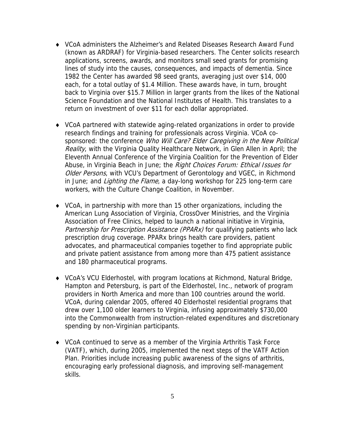- ♦ VCoA administers the Alzheimer's and Related Diseases Research Award Fund (known as ARDRAF) for Virginia-based researchers. The Center solicits research applications, screens, awards, and monitors small seed grants for promising lines of study into the causes, consequences, and impacts of dementia. Since 1982 the Center has awarded 98 seed grants, averaging just over \$14, 000 each, for a total outlay of \$1.4 Million. These awards have, in turn, brought back to Virginia over \$15.7 Million in larger grants from the likes of the National Science Foundation and the National Institutes of Health. This translates to a return on investment of over \$11 for each dollar appropriated.
- ♦ VCoA partnered with statewide aging-related organizations in order to provide research findings and training for professionals across Virginia. VCoA cosponsored: the conference Who Will Care? Elder Caregiving in the New Political Reality, with the Virginia Quality Healthcare Network, in Glen Allen in April; the Eleventh Annual Conference of the Virginia Coalition for the Prevention of Elder Abuse, in Virginia Beach in June; the Right Choices Forum: Ethical Issues for Older Persons, with VCU's Department of Gerontology and VGEC, in Richmond in June; and *Lighting the Flame*, a day-long workshop for 225 long-term care workers, with the Culture Change Coalition, in November.
- ♦ VCoA, in partnership with more than 15 other organizations, including the American Lung Association of Virginia, CrossOver Ministries, and the Virginia Association of Free Clinics, helped to launch a national initiative in Virginia, Partnership for Prescription Assistance (PPARx) for qualifying patients who lack prescription drug coverage. PPARx brings health care providers, patient advocates, and pharmaceutical companies together to find appropriate public and private patient assistance from among more than 475 patient assistance and 180 pharmaceutical programs.
- ♦ VCoA's VCU Elderhostel, with program locations at Richmond, Natural Bridge, Hampton and Petersburg, is part of the Elderhostel, Inc., network of program providers in North America and more than 100 countries around the world. VCoA, during calendar 2005, offered 40 Elderhostel residential programs that drew over 1,100 older learners to Virginia, infusing approximately \$730,000 into the Commonwealth from instruction-related expenditures and discretionary spending by non-Virginian participants.
- ♦ VCoA continued to serve as a member of the Virginia Arthritis Task Force (VATF), which, during 2005, implemented the next steps of the VATF Action Plan. Priorities include increasing public awareness of the signs of arthritis, encouraging early professional diagnosis, and improving self-management skills.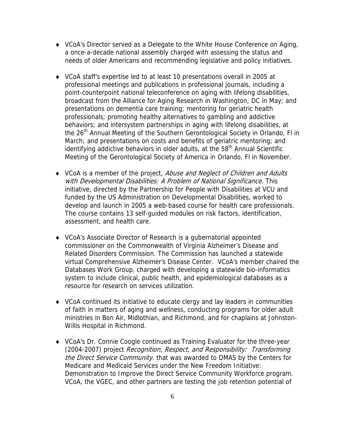- ♦ VCoA's Director served as a Delegate to the White House Conference on Aging, a once-a-decade national assembly charged with assessing the status and needs of older Americans and recommending legislative and policy initiatives.
- ♦ VCoA staff's expertise led to at least 10 presentations overall in 2005 at professional meetings and publications in professional journals, including a point-counterpoint national teleconference on aging with lifelong disabilities, broadcast from the Alliance for Aging Research in Washington, DC in May; and presentations on dementia care training; mentoring for geriatric health professionals; promoting healthy alternatives to gambling and addictive behaviors; and intersystem partnerships in aging with lifelong disabilities, at the 26<sup>th</sup> Annual Meeting of the Southern Gerontological Society in Orlando, FI in March; and presentations on costs and benefits of geriatric mentoring; and identifying addictive behaviors in older adults, at the 58<sup>th</sup> Annual Scientific Meeting of the Gerontological Society of America in Orlando, Fl in November.
- VCoA is a member of the project, Abuse and Neglect of Children and Adults with Developmental Disabilities: A Problem of National Significance. This initiative, directed by the Partnership for People with Disabilities at VCU and funded by the US Administration on Developmental Disabilities, worked to develop and launch in 2005 a web-based course for health care professionals. The course contains 13 self-guided modules on risk factors, identification, assessment, and health care.
- ♦ VCoA's Associate Director of Research is a gubernatorial appointed commissioner on the Commonwealth of Virginia Alzheimer's Disease and Related Disorders Commission. The Commission has launched a statewide virtual Comprehensive Alzheimer's Disease Center. VCoA's member chaired the Databases Work Group, charged with developing a statewide bio-informatics system to include clinical, public health, and epidemiological databases as a resource for research on services utilization.
- ♦ VCoA continued its initiative to educate clergy and lay leaders in communities of faith in matters of aging and wellness, conducting programs for older adult ministries in Bon Air, Midlothian, and Richmond, and for chaplains at Johnston-Willis Hospital in Richmond.
- ♦ VCoA's Dr. Connie Coogle continued as Training Evaluator for the three-year (2004-2007) project Recognition, Respect, and Responsibility: Transforming the Direct Service Community. that was awarded to DMAS by the Centers for Medicare and Medicaid Services under the New Freedom Initiative: Demonstration to Improve the Direct Service Community Workforce program. VCoA, the VGEC, and other partners are testing the job retention potential of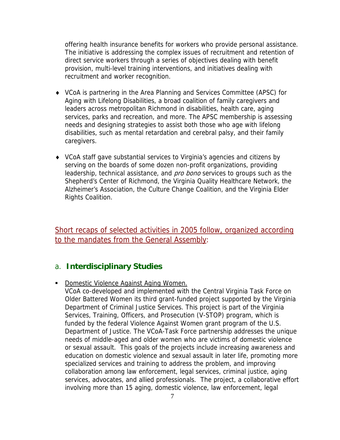offering health insurance benefits for workers who provide personal assistance. The initiative is addressing the complex issues of recruitment and retention of direct service workers through a series of objectives dealing with benefit provision, multi-level training interventions, and initiatives dealing with recruitment and worker recognition.

- ♦ VCoA is partnering in the Area Planning and Services Committee (APSC) for Aging with Lifelong Disabilities, a broad coalition of family caregivers and leaders across metropolitan Richmond in disabilities, health care, aging services, parks and recreation, and more. The APSC membership is assessing needs and designing strategies to assist both those who age with lifelong disabilities, such as mental retardation and cerebral palsy, and their family caregivers.
- ♦ VCoA staff gave substantial services to Virginia's agencies and citizens by serving on the boards of some dozen non-profit organizations, providing leadership, technical assistance, and *pro bono* services to groups such as the Shepherd's Center of Richmond, the Virginia Quality Healthcare Network, the Alzheimer's Association, the Culture Change Coalition, and the Virginia Elder Rights Coalition.

Short recaps of selected activities in 2005 follow, organized according to the mandates from the General Assembly:

### a. **Interdisciplinary Studies**

**Domestic Violence Against Aging Women.** 

VCoA co-developed and implemented with the Central Virginia Task Force on Older Battered Women its third grant-funded project supported by the Virginia Department of Criminal Justice Services. This project is part of the Virginia Services, Training, Officers, and Prosecution (V-STOP) program, which is funded by the federal Violence Against Women grant program of the U.S. Department of Justice. The VCoA-Task Force partnership addresses the unique needs of middle-aged and older women who are victims of domestic violence or sexual assault. This goals of the projects include increasing awareness and education on domestic violence and sexual assault in later life, promoting more specialized services and training to address the problem, and improving collaboration among law enforcement, legal services, criminal justice, aging services, advocates, and allied professionals. The project, a collaborative effort involving more than 15 aging, domestic violence, law enforcement, legal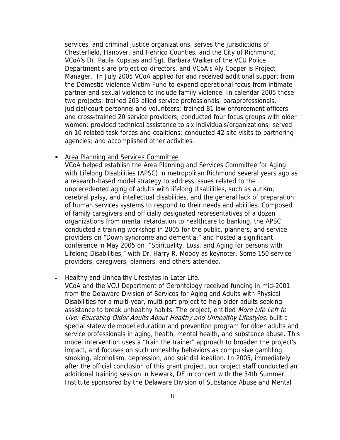services, and criminal justice organizations, serves the jurisdictions of Chesterfield, Hanover, and Henrico Counties, and the City of Richmond. VCoA's Dr. Paula Kupstas and Sgt. Barbara Walker of the VCU Police Department s are project co-directors, and VCoA's Aly Cooper is Project Manager. In July 2005 VCoA applied for and received additional support from the Domestic Violence Victim Fund to expand operational focus from intimate partner and sexual violence to include family violence. In calendar 2005 these two projects: trained 203 allied service professionals, paraprofessionals, judicial/court personnel and volunteers; trained 81 law enforcement officers and cross-trained 20 service providers; conducted four focus groups with older women; provided technical assistance to six individuals/organizations; served on 10 related task forces and coalitions; conducted 42 site visits to partnering agencies; and accomplished other activities.

#### **Area Planning and Services Committee**

VCoA helped establish the Area Planning and Services Committee for Aging with Lifelong Disabilities (APSC) in metropolitan Richmond several years ago as a research-based model strategy to address issues related to the unprecedented aging of adults with lifelong disabilities, such as autism, cerebral palsy, and intellectual disabilities, and the general lack of preparation of human services systems to respond to their needs and abilities. Composed of family caregivers and officially designated representatives of a dozen organizations from mental retardation to healthcare to banking, the APSC conducted a training workshop in 2005 for the public, planners, and service providers on "Down syndrome and dementia," and hosted a significant conference in May 2005 on "Spirituality, Loss, and Aging for persons with Lifelong Disabilities," with Dr. Harry R. Moody as keynoter. Some 150 service providers, caregivers, planners, and others attended.

#### • Healthy and Unhealthy Lifestyles in Later Life.

VCoA and the VCU Department of Gerontology received funding in mid-2001 from the Delaware Division of Services for Aging and Adults with Physical Disabilities for a multi-year, multi-part project to help older adults seeking assistance to break unhealthy habits. The project, entitled More Life Left to Live: Educating Older Adults About Healthy and Unhealthy Lifestyles, built a special statewide model education and prevention program for older adults and service professionals in aging, health, mental health, and substance abuse. This model intervention uses a "train the trainer" approach to broaden the project's impact, and focuses on such unhealthy behaviors as compulsive gambling, smoking, alcoholism, depression, and suicidal ideation. In 2005, immediately after the official conclusion of this grant project, our project staff conducted an additional training session in Newark, DE in concert with the 34th Summer Institute sponsored by the Delaware Division of Substance Abuse and Mental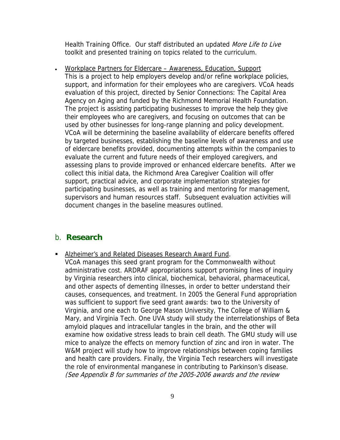Health Training Office. Our staff distributed an updated More Life to Live toolkit and presented training on topics related to the curriculum.

• Workplace Partners for Eldercare – Awareness, Education, Support This is a project to help employers develop and/or refine workplace policies, support, and information for their employees who are caregivers. VCoA heads evaluation of this project, directed by Senior Connections: The Capital Area Agency on Aging and funded by the Richmond Memorial Health Foundation. The project is assisting participating businesses to improve the help they give their employees who are caregivers, and focusing on outcomes that can be used by other businesses for long-range planning and policy development. VCoA will be determining the baseline availability of eldercare benefits offered by targeted businesses, establishing the baseline levels of awareness and use of eldercare benefits provided, documenting attempts within the companies to evaluate the current and future needs of their employed caregivers, and assessing plans to provide improved or enhanced eldercare benefits. After we collect this initial data, the Richmond Area Caregiver Coalition will offer support, practical advice, and corporate implementation strategies for participating businesses, as well as training and mentoring for management, supervisors and human resources staff. Subsequent evaluation activities will document changes in the baseline measures outlined.

### b. **Research**

- **Alzheimer's and Related Diseases Research Award Fund.** 
	- VCoA manages this seed grant program for the Commonwealth without administrative cost. ARDRAF appropriations support promising lines of inquiry by Virginia researchers into clinical, biochemical, behavioral, pharmaceutical, and other aspects of dementing illnesses, in order to better understand their causes, consequences, and treatment. In 2005 the General Fund appropriation was sufficient to support five seed grant awards: two to the University of Virginia, and one each to George Mason University, The College of William & Mary, and Virginia Tech. One UVA study will study the interrelationships of Beta amyloid plaques and intracellular tangles in the brain, and the other will examine how oxidative stress leads to brain cell death. The GMU study will use mice to analyze the effects on memory function of zinc and iron in water. The W&M project will study how to improve relationships between coping families and health care providers. Finally, the Virginia Tech researchers will investigate the role of environmental manganese in contributing to Parkinson's disease. (See Appendix B for summaries of the 2005-2006 awards and the review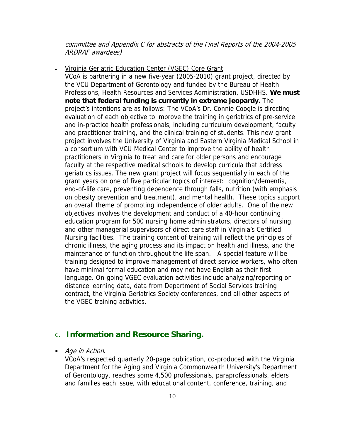committee and Appendix C for abstracts of the Final Reports of the 2004-2005 ARDRAF awardees)

• Virginia Geriatric Education Center (VGEC) Core Grant.

VCoA is partnering in a new five-year (2005-2010) grant project, directed by the VCU Department of Gerontology and funded by the Bureau of Health Professions, Health Resources and Services Administration, USDHHS. **We must note that federal funding is currently in extreme jeopardy.** The project's intentions are as follows: The VCoA's Dr. Connie Coogle is directing evaluation of each objective to improve the training in geriatrics of pre-service and in-practice health professionals, including curriculum development, faculty and practitioner training, and the clinical training of students. This new grant project involves the University of Virginia and Eastern Virginia Medical School in a consortium with VCU Medical Center to improve the ability of health practitioners in Virginia to treat and care for older persons and encourage faculty at the respective medical schools to develop curricula that address geriatrics issues. The new grant project will focus sequentially in each of the grant years on one of five particular topics of interest: cognition/dementia, end-of-life care, preventing dependence through falls, nutrition (with emphasis on obesity prevention and treatment), and mental health. These topics support an overall theme of promoting independence of older adults. One of the new objectives involves the development and conduct of a 40-hour continuing education program for 500 nursing home administrators, directors of nursing, and other managerial supervisors of direct care staff in Virginia's Certified Nursing facilities. The training content of training will reflect the principles of chronic illness, the aging process and its impact on health and illness, and the maintenance of function throughout the life span. A special feature will be training designed to improve management of direct service workers, who often have minimal formal education and may not have English as their first language. On-going VGEC evaluation activities include analyzing/reporting on distance learning data, data from Department of Social Services training contract, the Virginia Geriatrics Society conferences, and all other aspects of the VGEC training activities.

### c. **Information and Resource Sharing.**

Age in Action.

VCoA's respected quarterly 20-page publication, co-produced with the Virginia Department for the Aging and Virginia Commonwealth University's Department of Gerontology, reaches some 4,500 professionals, paraprofessionals, elders and families each issue, with educational content, conference, training, and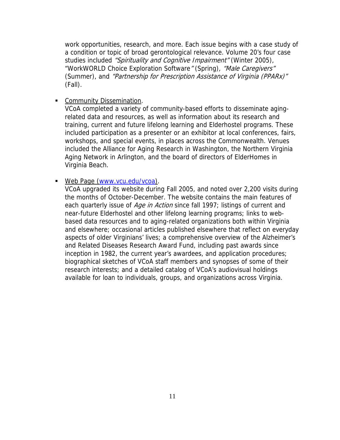work opportunities, research, and more. Each issue begins with a case study of a condition or topic of broad gerontological relevance. Volume 20's four case studies included "Spirituality and Cognitive Impairment" (Winter 2005), "WorkWORLD Choice Exploration Software" (Spring), "Male Caregivers" (Summer), and "Partnership for Prescription Assistance of Virginia (PPARx)" (Fall).

**Community Dissemination.** 

VCoA completed a variety of community-based efforts to disseminate agingrelated data and resources, as well as information about its research and training, current and future lifelong learning and Elderhostel programs. These included participation as a presenter or an exhibitor at local conferences, fairs, workshops, and special events, in places across the Commonwealth. Venues included the Alliance for Aging Research in Washington, the Northern Virginia Aging Network in Arlington, and the board of directors of ElderHomes in Virginia Beach.

■ Web Page ([www.vcu.edu/vcoa\)](http://www.vcu.edu/vcoa).

VCoA upgraded its website during Fall 2005, and noted over 2,200 visits during the months of October-December. The website contains the main features of each quarterly issue of Age in Action since fall 1997; listings of current and near-future Elderhostel and other lifelong learning programs; links to webbased data resources and to aging-related organizations both within Virginia and elsewhere; occasional articles published elsewhere that reflect on everyday aspects of older Virginians' lives; a comprehensive overview of the Alzheimer's and Related Diseases Research Award Fund, including past awards since inception in 1982, the current year's awardees, and application procedures; biographical sketches of VCoA staff members and synopses of some of their research interests; and a detailed catalog of VCoA's audiovisual holdings available for loan to individuals, groups, and organizations across Virginia.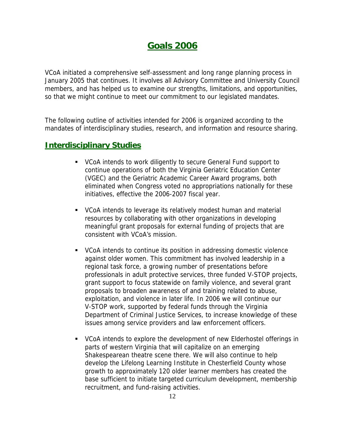# **Goals 2006**

VCoA initiated a comprehensive self-assessment and long range planning process in January 2005 that continues. It involves all Advisory Committee and University Council members, and has helped us to examine our strengths, limitations, and opportunities, so that we might continue to meet our commitment to our legislated mandates.

The following outline of activities intended for 2006 is organized according to the mandates of interdisciplinary studies, research, and information and resource sharing.

### **Interdisciplinary Studies**

- VCoA intends to work diligently to secure General Fund support to continue operations of both the Virginia Geriatric Education Center (VGEC) and the Geriatric Academic Career Award programs, both eliminated when Congress voted no appropriations nationally for these initiatives, effective the 2006-2007 fiscal year.
- VCoA intends to leverage its relatively modest human and material resources by collaborating with other organizations in developing meaningful grant proposals for external funding of projects that are consistent with VCoA's mission.
- VCoA intends to continue its position in addressing domestic violence against older women. This commitment has involved leadership in a regional task force, a growing number of presentations before professionals in adult protective services, three funded V-STOP projects, grant support to focus statewide on family violence, and several grant proposals to broaden awareness of and training related to abuse, exploitation, and violence in later life. In 2006 we will continue our V-STOP work, supported by federal funds through the Virginia Department of Criminal Justice Services, to increase knowledge of these issues among service providers and law enforcement officers.
- VCoA intends to explore the development of new Elderhostel offerings in parts of western Virginia that will capitalize on an emerging Shakespearean theatre scene there. We will also continue to help develop the Lifelong Learning Institute in Chesterfield County whose growth to approximately 120 older learner members has created the base sufficient to initiate targeted curriculum development, membership recruitment, and fund-raising activities.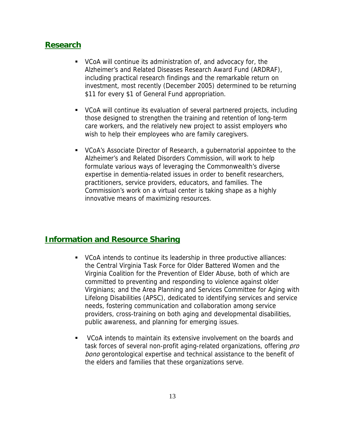### **Research**

- VCoA will continue its administration of, and advocacy for, the Alzheimer's and Related Diseases Research Award Fund (ARDRAF), including practical research findings and the remarkable return on investment, most recently (December 2005) determined to be returning \$11 for every \$1 of General Fund appropriation.
- VCoA will continue its evaluation of several partnered projects, including those designed to strengthen the training and retention of long-term care workers, and the relatively new project to assist employers who wish to help their employees who are family caregivers.
- VCoA's Associate Director of Research, a gubernatorial appointee to the Alzheimer's and Related Disorders Commission, will work to help formulate various ways of leveraging the Commonwealth's diverse expertise in dementia-related issues in order to benefit researchers, practitioners, service providers, educators, and families. The Commission's work on a virtual center is taking shape as a highly innovative means of maximizing resources.

### **Information and Resource Sharing**

- VCoA intends to continue its leadership in three productive alliances: the Central Virginia Task Force for Older Battered Women and the Virginia Coalition for the Prevention of Elder Abuse, both of which are committed to preventing and responding to violence against older Virginians; and the Area Planning and Services Committee for Aging with Lifelong Disabilities (APSC), dedicated to identifying services and service needs, fostering communication and collaboration among service providers, cross-training on both aging and developmental disabilities, public awareness, and planning for emerging issues.
- VCoA intends to maintain its extensive involvement on the boards and task forces of several non-profit aging-related organizations, offering pro bono gerontological expertise and technical assistance to the benefit of the elders and families that these organizations serve.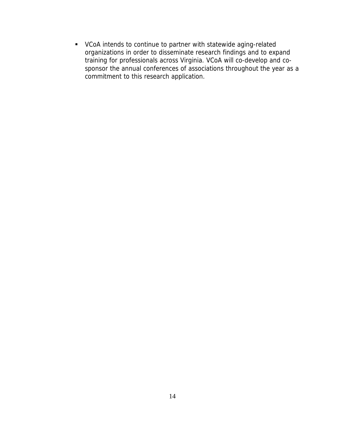VCoA intends to continue to partner with statewide aging-related organizations in order to disseminate research findings and to expand training for professionals across Virginia. VCoA will co-develop and cosponsor the annual conferences of associations throughout the year as a commitment to this research application.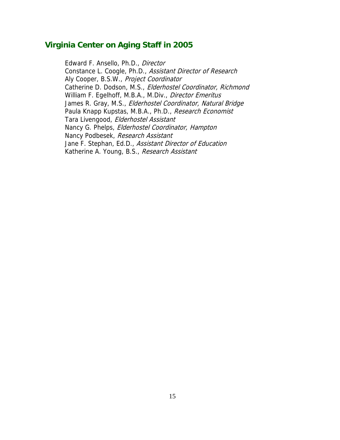### **Virginia Center on Aging Staff in 2005**

James R. Gray, M.S., *Elderhostel Coordinator, Natural Bridge* Nancy G. Phelps, Elderhostel Coordinator, Hampton Edward F. Ansello, Ph.D., Director Constance L. Coogle, Ph.D., Assistant Director of Research Aly Cooper, B.S.W., Project Coordinator Catherine D. Dodson, M.S., Elderhostel Coordinator, Richmond William F. Egelhoff, M.B.A., M.Div., Director Emeritus Paula Knapp Kupstas, M.B.A., Ph.D., Research Economist Tara Livengood, Elderhostel Assistant Nancy Podbesek, Research Assistant Jane F. Stephan, Ed.D., Assistant Director of Education Katherine A. Young, B.S., Research Assistant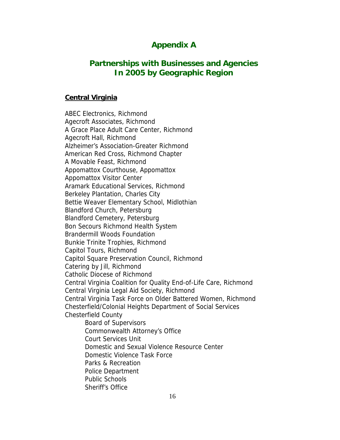### **Appendix A**

### **Partnerships with Businesses and Agencies In 2005 by Geographic Region**

#### **Central Virginia**

ABEC Electronics, Richmond Agecroft Associates, Richmond A Grace Place Adult Care Center, Richmond Agecroft Hall, Richmond Alzheimer's Association-Greater Richmond American Red Cross, Richmond Chapter A Movable Feast, Richmond Appomattox Courthouse, Appomattox Appomattox Visitor Center Aramark Educational Services, Richmond Berkeley Plantation, Charles City Bettie Weaver Elementary School, Midlothian Blandford Church, Petersburg Blandford Cemetery, Petersburg Bon Secours Richmond Health System Brandermill Woods Foundation Bunkie Trinite Trophies, Richmond Capitol Tours, Richmond Capitol Square Preservation Council, Richmond Catering by Jill, Richmond Catholic Diocese of Richmond Central Virginia Coalition for Quality End-of-Life Care, Richmond Central Virginia Legal Aid Society, Richmond Central Virginia Task Force on Older Battered Women, Richmond Chesterfield/Colonial Heights Department of Social Services Chesterfield County Board of Supervisors Commonwealth Attorney's Office Court Services Unit Domestic and Sexual Violence Resource Center Domestic Violence Task Force Parks & Recreation Police Department Public Schools Sheriff's Office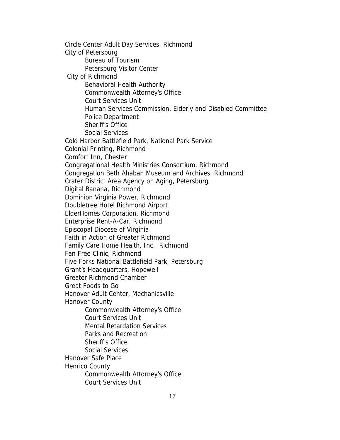Circle Center Adult Day Services, Richmond City of Petersburg Bureau of Tourism Petersburg Visitor Center City of Richmond Behavioral Health Authority Commonwealth Attorney's Office Court Services Unit Human Services Commission, Elderly and Disabled Committee Police Department Sheriff's Office Social Services Cold Harbor Battlefield Park, National Park Service Colonial Printing, Richmond Comfort Inn, Chester Congregational Health Ministries Consortium, Richmond Congregation Beth Ahabah Museum and Archives, Richmond Crater District Area Agency on Aging, Petersburg Digital Banana, Richmond Dominion Virginia Power, Richmond Doubletree Hotel Richmond Airport ElderHomes Corporation, Richmond Enterprise Rent-A-Car, Richmond Episcopal Diocese of Virginia Faith in Action of Greater Richmond Family Care Home Health, Inc., Richmond Fan Free Clinic, Richmond Five Forks National Battlefield Park, Petersburg Grant's Headquarters, Hopewell Greater Richmond Chamber Great Foods to Go Hanover Adult Center, Mechanicsville Hanover County Commonwealth Attorney's Office Court Services Unit Mental Retardation Services Parks and Recreation Sheriff's Office Social Services Hanover Safe Place Henrico County Commonwealth Attorney's Office Court Services Unit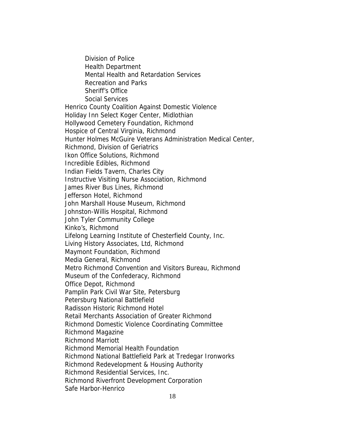Division of Police Health Department Mental Health and Retardation Services Recreation and Parks Sheriff's Office Social Services Henrico County Coalition Against Domestic Violence Holiday Inn Select Koger Center, Midlothian Hollywood Cemetery Foundation, Richmond Hospice of Central Virginia, Richmond Hunter Holmes McGuire Veterans Administration Medical Center, Richmond, Division of Geriatrics Ikon Office Solutions, Richmond Incredible Edibles, Richmond Indian Fields Tavern, Charles City Instructive Visiting Nurse Association, Richmond James River Bus Lines, Richmond Jefferson Hotel, Richmond John Marshall House Museum, Richmond Johnston-Willis Hospital, Richmond John Tyler Community College Kinko's, Richmond Lifelong Learning Institute of Chesterfield County, Inc. Living History Associates, Ltd, Richmond Maymont Foundation, Richmond Media General, Richmond Metro Richmond Convention and Visitors Bureau, Richmond Museum of the Confederacy, Richmond Office Depot, Richmond Pamplin Park Civil War Site, Petersburg Petersburg National Battlefield Radisson Historic Richmond Hotel Retail Merchants Association of Greater Richmond Richmond Domestic Violence Coordinating Committee Richmond Magazine Richmond Marriott Richmond Memorial Health Foundation Richmond National Battlefield Park at Tredegar Ironworks Richmond Redevelopment & Housing Authority Richmond Residential Services, Inc. Richmond Riverfront Development Corporation Safe Harbor-Henrico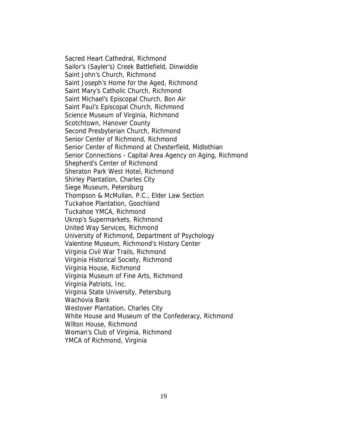Sacred Heart Cathedral, Richmond Sailor's (Sayler's) Creek Battlefield, Dinwiddie Saint John's Church, Richmond Saint Joseph's Home for the Aged, Richmond Saint Mary's Catholic Church, Richmond Saint Michael's Episcopal Church, Bon Air Saint Paul's Episcopal Church, Richmond Science Museum of Virginia, Richmond Scotchtown, Hanover County Second Presbyterian Church, Richmond Senior Center of Richmond, Richmond Senior Center of Richmond at Chesterfield, Midlothian Senior Connections - Capital Area Agency on Aging, Richmond Shepherd's Center of Richmond Sheraton Park West Hotel, Richmond Shirley Plantation, Charles City Siege Museum, Petersburg Thompson & McMullan, P.C., Elder Law Section Tuckahoe Plantation, Goochland Tuckahoe YMCA, Richmond Ukrop's Supermarkets, Richmond United Way Services, Richmond University of Richmond, Department of Psychology Valentine Museum, Richmond's History Center Virginia Civil War Trails, Richmond Virginia Historical Society, Richmond Virginia House, Richmond Virginia Museum of Fine Arts, Richmond Virginia Patriots, Inc. Virginia State University, Petersburg Wachovia Bank Westover Plantation, Charles City White House and Museum of the Confederacy, Richmond Wilton House, Richmond Woman's Club of Virginia, Richmond YMCA of Richmond, Virginia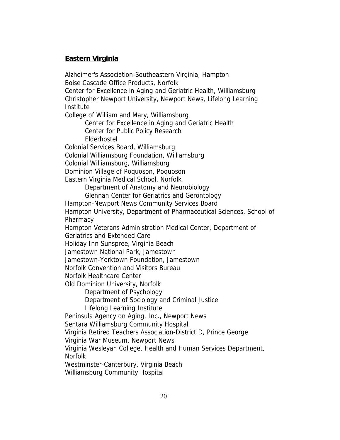### **Eastern Virginia**

Alzheimer's Association-Southeastern Virginia, Hampton Boise Cascade Office Products, Norfolk Center for Excellence in Aging and Geriatric Health, Williamsburg Christopher Newport University, Newport News, Lifelong Learning Institute College of William and Mary, Williamsburg Center for Excellence in Aging and Geriatric Health Center for Public Policy Research Elderhostel Colonial Services Board, Williamsburg Colonial Williamsburg Foundation, Williamsburg Colonial Williamsburg, Williamsburg Dominion Village of Poquoson, Poquoson Eastern Virginia Medical School, Norfolk Department of Anatomy and Neurobiology Glennan Center for Geriatrics and Gerontology Hampton-Newport News Community Services Board Hampton University, Department of Pharmaceutical Sciences, School of Pharmacy Hampton Veterans Administration Medical Center, Department of Geriatrics and Extended Care Holiday Inn Sunspree, Virginia Beach Jamestown National Park, Jamestown Jamestown-Yorktown Foundation, Jamestown Norfolk Convention and Visitors Bureau Norfolk Healthcare Center Old Dominion University, Norfolk Department of Psychology Department of Sociology and Criminal Justice Lifelong Learning Institute Peninsula Agency on Aging, Inc., Newport News Sentara Williamsburg Community Hospital Virginia Retired Teachers Association-District D, Prince George Virginia War Museum, Newport News Virginia Wesleyan College, Health and Human Services Department, Norfolk Westminster-Canterbury, Virginia Beach

Williamsburg Community Hospital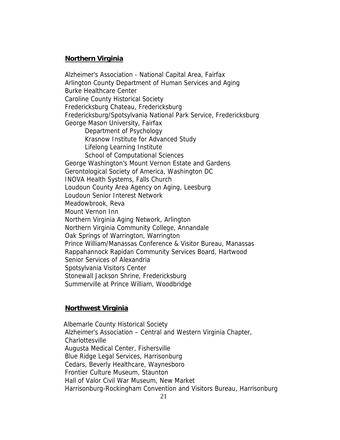#### **Northern Virginia**

Alzheimer's Association - National Capital Area, Fairfax Arlington County Department of Human Services and Aging Burke Healthcare Center Caroline County Historical Society Fredericksburg Chateau, Fredericksburg Fredericksburg/Spotsylvania National Park Service, Fredericksburg George Mason University, Fairfax Department of Psychology Krasnow Institute for Advanced Study Lifelong Learning Institute School of Computational Sciences George Washington's Mount Vernon Estate and Gardens Gerontological Society of America, Washington DC INOVA Health Systems, Falls Church Loudoun County Area Agency on Aging, Leesburg Loudoun Senior Interest Network Meadowbrook, Reva Mount Vernon Inn Northern Virginia Aging Network, Arlington Northern Virginia Community College, Annandale Oak Springs of Warrington, Warrington Prince William/Manassas Conference & Visitor Bureau, Manassas Rappahannock Rapidan Community Services Board, Hartwood Senior Services of Alexandria Spotsylvania Visitors Center Stonewall Jackson Shrine, Fredericksburg Summerville at Prince William, Woodbridge

#### **Northwest Virginia**

 Albemarle County Historical Society Alzheimer's Association – Central and Western Virginia Chapter, Charlottesville Augusta Medical Center, Fishersville Blue Ridge Legal Services, Harrisonburg Cedars, Beverly Healthcare, Waynesboro Frontier Culture Museum, Staunton Hall of Valor Civil War Museum, New Market Harrisonburg-Rockingham Convention and Visitors Bureau, Harrisonburg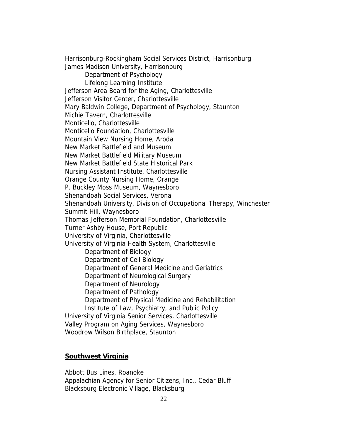Harrisonburg-Rockingham Social Services District, Harrisonburg James Madison University, Harrisonburg Department of Psychology Lifelong Learning Institute Jefferson Area Board for the Aging, Charlottesville Jefferson Visitor Center, Charlottesville Mary Baldwin College, Department of Psychology, Staunton Michie Tavern, Charlottesville Monticello, Charlottesville Monticello Foundation, Charlottesville Mountain View Nursing Home, Aroda New Market Battlefield and Museum New Market Battlefield Military Museum New Market Battlefield State Historical Park Nursing Assistant Institute, Charlottesville Orange County Nursing Home, Orange P. Buckley Moss Museum, Waynesboro Shenandoah Social Services, Verona Shenandoah University, Division of Occupational Therapy, Winchester Summit Hill, Waynesboro Thomas Jefferson Memorial Foundation, Charlottesville Turner Ashby House, Port Republic University of Virginia, Charlottesville University of Virginia Health System, Charlottesville Department of Biology Department of Cell Biology Department of General Medicine and Geriatrics Department of Neurological Surgery Department of Neurology Department of Pathology Department of Physical Medicine and Rehabilitation Institute of Law, Psychiatry, and Public Policy University of Virginia Senior Services, Charlottesville Valley Program on Aging Services, Waynesboro Woodrow Wilson Birthplace, Staunton

#### **Southwest Virginia**

Abbott Bus Lines, Roanoke Appalachian Agency for Senior Citizens, Inc., Cedar Bluff Blacksburg Electronic Village, Blacksburg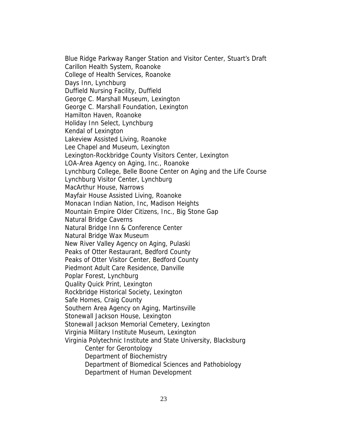Blue Ridge Parkway Ranger Station and Visitor Center, Stuart's Draft Carillon Health System, Roanoke College of Health Services, Roanoke Days Inn, Lynchburg Duffield Nursing Facility, Duffield George C. Marshall Museum, Lexington George C. Marshall Foundation, Lexington Hamilton Haven, Roanoke Holiday Inn Select, Lynchburg Kendal of Lexington Lakeview Assisted Living, Roanoke Lee Chapel and Museum, Lexington Lexington-Rockbridge County Visitors Center, Lexington LOA-Area Agency on Aging, Inc., Roanoke Lynchburg College, Belle Boone Center on Aging and the Life Course Lynchburg Visitor Center, Lynchburg MacArthur House, Narrows Mayfair House Assisted Living, Roanoke Monacan Indian Nation, Inc, Madison Heights Mountain Empire Older Citizens, Inc., Big Stone Gap Natural Bridge Caverns Natural Bridge Inn & Conference Center Natural Bridge Wax Museum New River Valley Agency on Aging, Pulaski Peaks of Otter Restaurant, Bedford County Peaks of Otter Visitor Center, Bedford County Piedmont Adult Care Residence, Danville Poplar Forest, Lynchburg Quality Quick Print, Lexington Rockbridge Historical Society, Lexington Safe Homes, Craig County Southern Area Agency on Aging, Martinsville Stonewall Jackson House, Lexington Stonewall Jackson Memorial Cemetery, Lexington Virginia Military Institute Museum, Lexington Virginia Polytechnic Institute and State University, Blacksburg Center for Gerontology Department of Biochemistry Department of Biomedical Sciences and Pathobiology Department of Human Development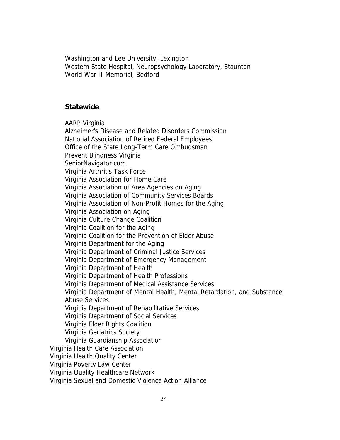Washington and Lee University, Lexington Western State Hospital, Neuropsychology Laboratory, Staunton World War II Memorial, Bedford

#### **Statewide**

AARP Virginia

Alzheimer's Disease and Related Disorders Commission National Association of Retired Federal Employees Office of the State Long-Term Care Ombudsman Prevent Blindness Virginia SeniorNavigator.com Virginia Arthritis Task Force Virginia Association for Home Care Virginia Association of Area Agencies on Aging Virginia Association of Community Services Boards Virginia Association of Non-Profit Homes for the Aging Virginia Association on Aging Virginia Culture Change Coalition Virginia Coalition for the Aging Virginia Coalition for the Prevention of Elder Abuse Virginia Department for the Aging Virginia Department of Criminal Justice Services Virginia Department of Emergency Management Virginia Department of Health Virginia Department of Health Professions Virginia Department of Medical Assistance Services Virginia Department of Mental Health, Mental Retardation, and Substance Abuse Services Virginia Department of Rehabilitative Services Virginia Department of Social Services Virginia Elder Rights Coalition Virginia Geriatrics Society Virginia Guardianship Association Virginia Health Care Association Virginia Health Quality Center Virginia Poverty Law Center Virginia Quality Healthcare Network Virginia Sexual and Domestic Violence Action Alliance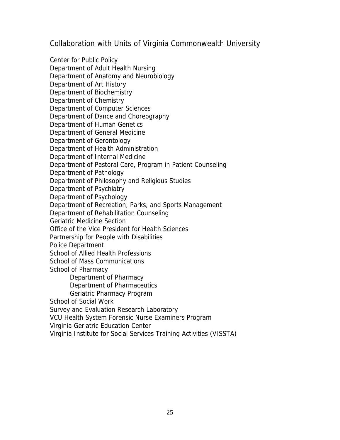### Collaboration with Units of Virginia Commonwealth University

Center for Public Policy Department of Adult Health Nursing Department of Anatomy and Neurobiology Department of Art History Department of Biochemistry Department of Chemistry Department of Computer Sciences Department of Dance and Choreography Department of Human Genetics Department of General Medicine Department of Gerontology Department of Health Administration Department of Internal Medicine Department of Pastoral Care, Program in Patient Counseling Department of Pathology Department of Philosophy and Religious Studies Department of Psychiatry Department of Psychology Department of Recreation, Parks, and Sports Management Department of Rehabilitation Counseling Geriatric Medicine Section Office of the Vice President for Health Sciences Partnership for People with Disabilities Police Department School of Allied Health Professions School of Mass Communications School of Pharmacy Department of Pharmacy Department of Pharmaceutics Geriatric Pharmacy Program School of Social Work Survey and Evaluation Research Laboratory VCU Health System Forensic Nurse Examiners Program

Virginia Geriatric Education Center

Virginia Institute for Social Services Training Activities (VISSTA)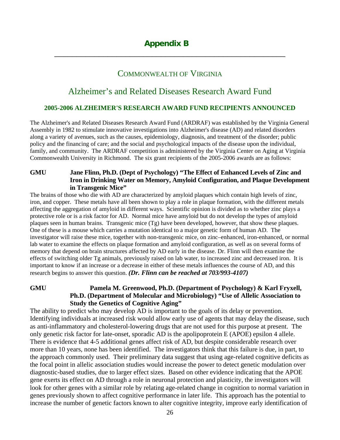### COMMONWEALTH OF VIRGINIA

\_\_\_\_\_\_\_\_\_\_\_\_\_\_\_\_\_\_\_\_\_\_\_\_\_\_\_\_\_\_\_\_\_\_\_\_\_\_\_\_\_\_\_\_\_\_\_\_\_\_\_\_

# Alzheimer's and Related Diseases Research Award Fund

#### **2005-2006 ALZHEIMER'S RESEARCH AWARD FUND RECIPIENTS ANNOUNCED**

The Alzheimer's and Related Diseases Research Award Fund (ARDRAF) was established by the Virginia General Assembly in 1982 to stimulate innovative investigations into Alzheimer's disease (AD) and related disorders along a variety of avenues, such as the causes, epidemiology, diagnosis, and treatment of the disorder; public policy and the financing of care; and the social and psychological impacts of the disease upon the individual, family, and community. The ARDRAF competition is administered by the Virginia Center on Aging at Virginia Commonwealth University in Richmond. The six grant recipients of the 2005-2006 awards are as follows:

#### **GMU Jane Flinn, Ph.D. (Dept of Psychology) "The Effect of Enhanced Levels of Zinc and Iron in Drinking Water on Memory, Amyloid Configuration, and Plaque Development in Transgenic Mice"**

The brains of those who die with AD are characterized by amyloid plaques which contain high levels of zinc, iron, and copper. These metals have all been shown to play a role in plaque formation, with the different metals affecting the aggregation of amyloid in different ways. Scientific opinion is divided as to whether zinc plays a protective role or is a risk factor for AD. Normal mice have amyloid but do not develop the types of amyloid plaques seen in human brains. Transgenic mice (Tg) have been developed, however, that show these plaques. One of these is a mouse which carries a mutation identical to a major genetic form of human AD. The investigator will raise these mice, together with non-transgenic mice, on zinc–enhanced, iron-enhanced, or normal lab water to examine the effects on plaque formation and amyloid configuration, as well as on several forms of memory that depend on brain structures affected by AD early in the disease. Dr. Flinn will then examine the effects of switching older Tg animals, previously raised on lab water, to increased zinc and decreased iron. It is important to know if an increase or a decrease in either of these metals influences the course of AD, and this research begins to answer this question. *(Dr. Flinn can be reached at 703/993-4107)* 

**GMU Pamela M. Greenwood, Ph.D. (Department of Psychology) & Karl Fryxell, Ph.D. (Department of Molecular and Microbiology) "Use of Allelic Association to Study the Genetics of Cognitive Aging"** 

The ability to predict who may develop AD is important to the goals of its delay or prevention. Identifying individuals at increased risk would allow early use of agents that may delay the disease, such as anti-inflammatory and cholesterol-lowering drugs that are not used for this purpose at present. The only genetic risk factor for late-onset, sporadic AD is the apolipoprotein E (APOE) epsilon 4 allele. There is evidence that 4-5 additional genes affect risk of AD, but despite considerable research over more than 10 years, none has been identified. The investigators think that this failure is due, in part, to the approach commonly used. Their preliminary data suggest that using age-related cognitive deficits as the focal point in allelic association studies would increase the power to detect genetic modulation over diagnostic-based studies, due to larger effect sizes. Based on other evidence indicating that the APOE gene exerts its effect on AD through a role in neuronal protection and plasticity, the investigators will look for other genes with a similar role by relating age-related change in cognition to normal variation in genes previously shown to affect cognitive performance in later life. This approach has the potential to increase the number of genetic factors known to alter cognitive integrity, improve early identification of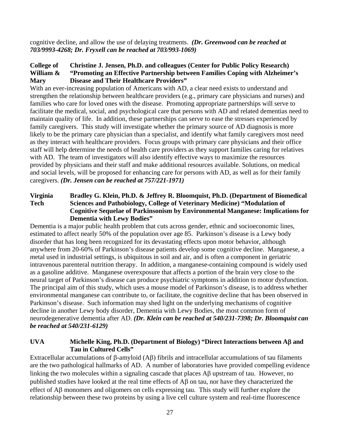cognitive decline, and allow the use of delaying treatments. *(Dr. Greenwood can be reached at 703/9993-4268; Dr. Fryxell can be reached at 703/993-1069)*

#### **College of Christine J. Jensen, Ph.D. and colleagues (Center for Public Policy Research) William & "Promoting an Effective Partnership between Families Coping with Alzheimer's Mary Disease and Their Healthcare Providers"**

With an ever-increasing population of Americans with AD, a clear need exists to understand and strengthen the relationship between healthcare providers (e.g., primary care physicians and nurses) and families who care for loved ones with the disease. Promoting appropriate partnerships will serve to facilitate the medical, social, and psychological care that persons with AD and related dementias need to maintain quality of life. In addition, these partnerships can serve to ease the stresses experienced by family caregivers. This study will investigate whether the primary source of AD diagnosis is more likely to be the primary care physician than a specialist, and identify what family caregivers most need as they interact with healthcare providers. Focus groups with primary care physicians and their office staff will help determine the needs of health care providers as they support families caring for relatives with AD. The team of investigators will also identify effective ways to maximize the resources provided by physicians and their staff and make additional resources available. Solutions, on medical and social levels, will be proposed for enhancing care for persons with AD, as well as for their family caregivers. *(Dr. Jensen can be reached at 757/221-1971)* 

#### **Virginia Bradley G. Klein, Ph.D. & Jeffrey R. Bloomquist, Ph.D. (Department of Biomedical Tech Sciences and Pathobiology, College of Veterinary Medicine) "Modulation of Cognitive Sequelae of Parkinsonism by Environmental Manganese: Implications for Dementia with Lewy Bodies"**

Dementia is a major public health problem that cuts across gender, ethnic and socioeconomic lines, estimated to affect nearly 50% of the population over age 85. Parkinson's disease is a Lewy body disorder that has long been recognized for its devastating effects upon motor behavior, although anywhere from 20-60% of Parkinson's disease patients develop some cognitive decline. Manganese, a metal used in industrial settings, is ubiquitous in soil and air, and is often a component in geriatric intravenous parenteral nutrition therapy. In addition, a manganese-containing compound is widely used as a gasoline additive. Manganese overexposure that affects a portion of the brain very close to the neural target of Parkinson's disease can produce psychiatric symptoms in addition to motor dysfunction. The principal aim of this study, which uses a mouse model of Parkinson's disease, is to address whether environmental manganese can contribute to, or facilitate, the cognitive decline that has been observed in Parkinson's disease. Such information may shed light on the underlying mechanisms of cognitive decline in another Lewy body disorder, Dementia with Lewy Bodies, the most common form of neurodegenerative dementia after AD. *(Dr. Klein can be reached at 540/231-7398; Dr. Bloomquist can be reached at 540/231-6129)* 

#### **UVA Michelle King, Ph.D. (Department of Biology) "Direct Interactions between A**β **and Tau in Cultured Cells"**

Extracellular accumulations of β-amyloid (Aβ) fibrils and intracellular accumulations of tau filaments are the two pathological hallmarks of AD. A number of laboratories have provided compelling evidence linking the two molecules within a signaling cascade that places Aβ upstream of tau. However, no published studies have looked at the real time effects of Aβ on tau, nor have they characterized the effect of Aβ monomers and oligomers on cells expressing tau. This study will further explore the relationship between these two proteins by using a live cell culture system and real-time fluorescence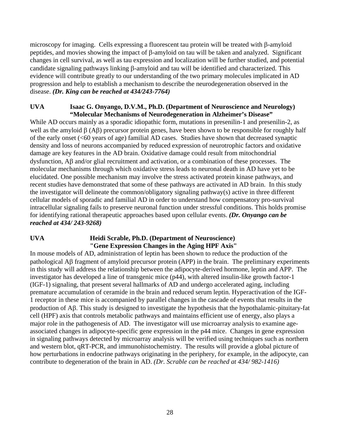microscopy for imaging. Cells expressing a fluorescent tau protein will be treated with β-amyloid peptides, and movies showing the impact of β-amyloid on tau will be taken and analyzed. Significant changes in cell survival, as well as tau expression and localization will be further studied, and potential candidate signaling pathways linking β-amyloid and tau will be identified and characterized. This evidence will contribute greatly to our understanding of the two primary molecules implicated in AD progression and help to establish a mechanism to describe the neurodegeneration observed in the disease. *(Dr. King can be reached at 434/243-7764)* 

#### **UVA Isaac G. Onyango, D.V.M., Ph.D. (Department of Neuroscience and Neurology) "Molecular Mechanisms of Neurodegeneration in Alzheimer's Disease"**

While AD occurs mainly as a sporadic idiopathic form, mutations in presenilin-1 and presenilin-2, as well as the amyloid β (Aβ) precursor protein genes, have been shown to be responsible for roughly half of the early onset (<60 years of age) familial AD cases. Studies have shown that decreased synaptic density and loss of neurons accompanied by reduced expression of neurotrophic factors and oxidative damage are key features in the AD brain. Oxidative damage could result from mitochondrial dysfunction, Aβ and/or glial recruitment and activation, or a combination of these processes. The molecular mechanisms through which oxidative stress leads to neuronal death in AD have yet to be elucidated. One possible mechanism may involve the stress activated protein kinase pathways, and recent studies have demonstrated that some of these pathways are activated in AD brain. In this study the investigator will delineate the common/obligatory signaling pathway(s) active in three different cellular models of sporadic and familial AD in order to understand how compensatory pro-survival intracellular signaling fails to preserve neuronal function under stressful conditions. This holds promise for identifying rational therapeutic approaches based upon cellular events. *(Dr. Onyango can be reached at 434/ 243-9268)* 

#### **UVA Heidi Scrable, Ph.D. (Department of Neuroscience) "Gene Expression Changes in the Aging HPF Axis"**

In mouse models of AD, administration of leptin has been shown to reduce the production of the pathological Aβ fragment of amyloid precursor protein (APP) in the brain. The preliminary experiments in this study will address the relationship between the adipocyte-derived hormone, leptin and APP. The investigator has developed a line of transgenic mice (p44), with altered insulin-like growth factor-1 (IGF-1) signaling, that present several hallmarks of AD and undergo accelerated aging, including premature accumulation of ceramide in the brain and reduced serum leptin. Hyperactivation of the IGF-1 receptor in these mice is accompanied by parallel changes in the cascade of events that results in the production of Aβ. This study is designed to investigate the hypothesis that the hypothalamic-pituitary-fat cell (HPF) axis that controls metabolic pathways and maintains efficient use of energy, also plays a major role in the pathogenesis of AD. The investigator will use microarray analysis to examine ageassociated changes in adipocyte-specific gene expression in the p44 mice. Changes in gene expression in signaling pathways detected by microarray analysis will be verified using techniques such as northern and western blot, qRT-PCR, and immunohistochemistry. The results will provide a global picture of how perturbations in endocrine pathways originating in the periphery, for example, in the adipocyte, can contribute to degeneration of the brain in AD. *(Dr. Scrable can be reached at 434/ 982-1416)*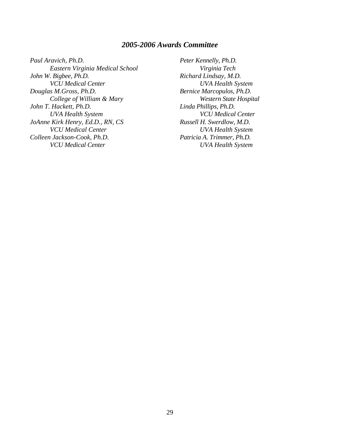#### *2005-2006 Awards Committee*

*Paul Aravich, Ph.D. Eastern Virginia Medical School John W. Bigbee, Ph.D. VCU Medical Center Douglas M.Gross, Ph.D. College of William & Mary John T. Hackett, Ph.D. UVA Health System JoAnne Kirk Henry, Ed.D., RN, CS VCU Medical Center Colleen Jackson-Cook, Ph.D. VCU Medical Center* 

*Peter Kennelly, Ph.D. Virginia Tech Richard Lindsay, M.D. UVA Health System Bernice Marcopulos, Ph.D. Western State Hospital Linda Phillips, Ph.D. VCU Medical Center Russell H. Swerdlow, M.D. UVA Health System Patricia A. Trimmer, Ph.D. UVA Health System*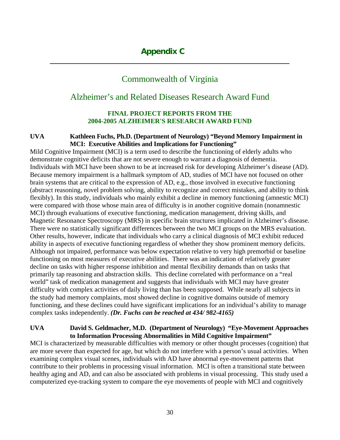# Commonwealth of Virginia

**\_\_\_\_\_\_\_\_\_\_\_\_\_\_\_\_\_\_\_\_\_\_\_\_\_\_\_\_\_\_\_\_\_\_\_\_\_\_\_\_\_\_\_\_\_\_\_\_\_\_\_\_\_\_\_\_\_\_\_\_\_\_\_** 

# Alzheimer's and Related Diseases Research Award Fund

#### **FINAL PROJECT REPORTS FROM THE 2004-2005 ALZHEIMER'S RESEARCH AWARD FUND**

#### **UVA Kathleen Fuchs, Ph.D. (Department of Neurology) "Beyond Memory Impairment in MCI: Executive Abilities and Implications for Functioning"**

Mild Cognitive Impairment (MCI) is a term used to describe the functioning of elderly adults who demonstrate cognitive deficits that are not severe enough to warrant a diagnosis of dementia. Individuals with MCI have been shown to be at increased risk for developing Alzheimer's disease (AD). Because memory impairment is a hallmark symptom of AD, studies of MCI have not focused on other brain systems that are critical to the expression of AD, e.g., those involved in executive functioning (abstract reasoning, novel problem solving, ability to recognize and correct mistakes, and ability to think flexibly). In this study, individuals who mainly exhibit a decline in memory functioning (amnestic MCI) were compared with those whose main area of difficulty is in another cognitive domain (nonamnestic MCI) through evaluations of executive functioning, medication management, driving skills, and Magnetic Resonance Spectroscopy (MRS) in specific brain structures implicated in Alzheimer's disease. There were no statistically significant differences between the two MCI groups on the MRS evaluation. Other results, however, indicate that individuals who carry a clinical diagnosis of MCI exhibit reduced ability in aspects of executive functioning regardless of whether they show prominent memory deficits. Although not impaired, performance was below expectation relative to very high premorbid or baseline functioning on most measures of executive abilities. There was an indication of relatively greater decline on tasks with higher response inhibition and mental flexibility demands than on tasks that primarily tap reasoning and abstraction skills. This decline correlated with performance on a "real world" task of medication management and suggests that individuals with MCI may have greater difficulty with complex activities of daily living than has been supposed. While nearly all subjects in the study had memory complaints, most showed decline in cognitive domains outside of memory functioning, and these declines could have significant implications for an individual's ability to manage complex tasks independently. *(Dr. Fuchs can be reached at 434/ 982-4165)* 

#### **UVA David S. Geldmacher, M.D. (Department of Neurology) "Eye-Movement Approaches to Information Processing Abnormalities in Mild Cognitive Impairment"**

MCI is characterized by measurable difficulties with memory or other thought processes (cognition) that are more severe than expected for age, but which do not interfere with a person's usual activities. When examining complex visual scenes, individuals with AD have abnormal eye-movement patterns that contribute to their problems in processing visual information. MCI is often a transitional state between healthy aging and AD, and can also be associated with problems in visual processing. This study used a computerized eye-tracking system to compare the eye movements of people with MCI and cognitively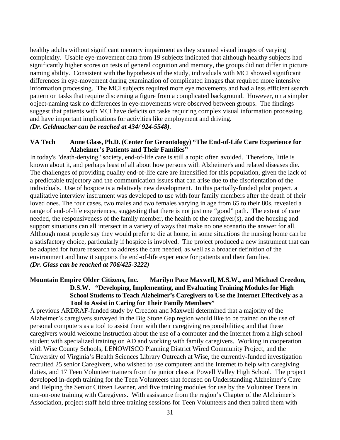healthy adults without significant memory impairment as they scanned visual images of varying complexity. Usable eye-movement data from 19 subjects indicated that although healthy subjects had significantly higher scores on tests of general cognition and memory, the groups did not differ in picture naming ability. Consistent with the hypothesis of the study, individuals with MCI showed significant differences in eye-movement during examination of complicated images that required more intensive information processing. The MCI subjects required more eye movements and had a less efficient search pattern on tasks that require discerning a figure from a complicated background. However, on a simpler object-naming task no differences in eye-movements were observed between groups. The findings suggest that patients with MCI have deficits on tasks requiring complex visual information processing, and have important implications for activities like employment and driving.

#### *(Dr. Geldmacher can be reached at 434/ 924-5548).*

#### **VA Tech Anne Glass, Ph.D. (Center for Gerontology) "The End-of-Life Care Experience for Alzheimer's Patients and Their Families"**

In today's "death-denying" society, end-of-life care is still a topic often avoided. Therefore, little is known about it, and perhaps least of all about how persons with Alzheimer's and related diseases die. The challenges of providing quality end-of-life care are intensified for this population, given the lack of a predictable trajectory and the communication issues that can arise due to the disorientation of the individuals. Use of hospice is a relatively new development. In this partially-funded pilot project, a qualitative interview instrument was developed to use with four family members after the death of their loved ones. The four cases, two males and two females varying in age from 65 to their 80s, revealed a range of end-of-life experiences, suggesting that there is not just one "good" path. The extent of care needed, the responsiveness of the family member, the health of the caregiver(s), and the housing and support situations can all intersect in a variety of ways that make no one scenario the answer for all. Although most people say they would prefer to die at home, in some situations the nursing home can be a satisfactory choice, particularly if hospice is involved. The project produced a new instrument that can be adapted for future research to address the care needed, as well as a broader definition of the environment and how it supports the end-of-life experience for patients and their families. *(Dr. Glass can be reached at 706/425-3222)*

#### **Mountain Empire Older Citizens, Inc. Marilyn Pace Maxwell, M.S.W., and Michael Creedon, D.S.W. "Developing, Implementing, and Evaluating Training Modules for High School Students to Teach Alzheimer's Caregivers to Use the Internet Effectively as a Tool to Assist in Caring for Their Family Members"**

A previous ARDRAF-funded study by Creedon and Maxwell determined that a majority of the Alzheimer's caregivers surveyed in the Big Stone Gap region would like to be trained on the use of personal computers as a tool to assist them with their caregiving responsibilities; and that these caregivers would welcome instruction about the use of a computer and the Internet from a high school student with specialized training on AD and working with family caregivers. Working in cooperation with Wise County Schools, LENOWISCO Planning District Wired Community Project, and the University of Virginia's Health Sciences Library Outreach at Wise, the currently-funded investigation recruited 25 senior Caregivers, who wished to use computers and the Internet to help with caregiving duties, and 17 Teen Volunteer trainers from the junior class at Powell Valley High School. The project developed in-depth training for the Teen Volunteers that focused on Understanding Alzheimer's Care and Helping the Senior Citizen Learner, and five training modules for use by the Volunteer Teens in one-on-one training with Caregivers. With assistance from the region's Chapter of the Alzheimer's Association, project staff held three training sessions for Teen Volunteers and then paired them with